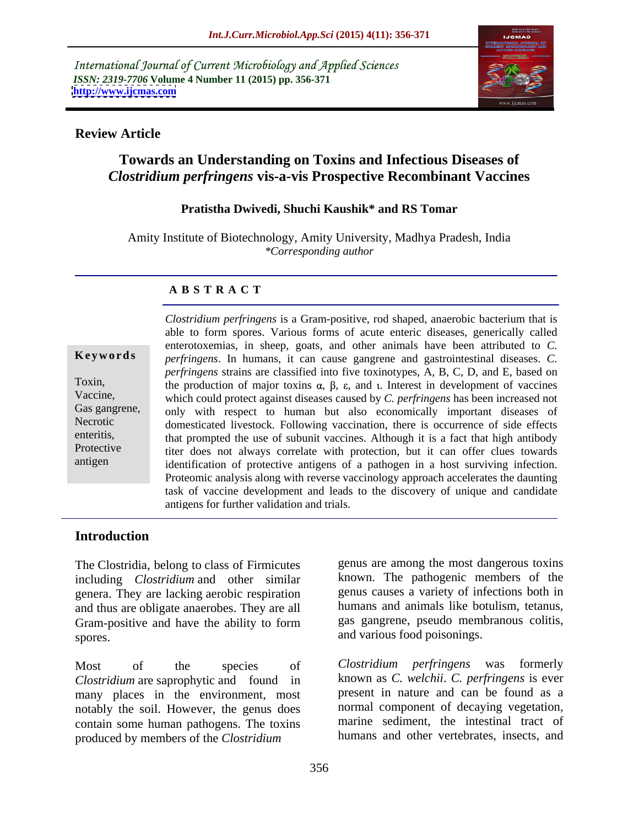International Journal of Current Microbiology and Applied Sciences *ISSN: 2319-7706* **Volume 4 Number 11 (2015) pp. 356-371 <http://www.ijcmas.com>**



### **Review Article**

# **Towards an Understanding on Toxins and Infectious Diseases of**  *Clostridium perfringens* **vis-a-vis Prospective Recombinant Vaccines**

### **Pratistha Dwivedi, Shuchi Kaushik\* and RS Tomar**

Amity Institute of Biotechnology, Amity University, Madhya Pradesh, India *\*Corresponding author*

### **A B S T R A C T**

antigen

*Clostridium perfringens* is a Gram-positive, rod shaped, anaerobic bacterium that is able to form spores. Various forms of acute enteric diseases, generically called enterotoxemias, in sheep, goats, and other animals have been attributed to *C. perfringens*. In humans, it can cause gangrene and gastrointestinal diseases. *C.*  **Ke ywo rds** *perfringens* strains are classified into five toxinotypes, A, B, C, D, and E, based on Toxin, the production of major toxins  $\alpha$ ,  $\beta$ ,  $\varepsilon$ , and  $\iota$ . Interest in development of vaccines which could protect against diseases caused by *C. perfringens* has been increased not Vaccine, Gas gangrene, only with respect to human but also economically important diseases of Necrotic domesticated livestock. Following vaccination, there is occurrence of side effects enteritis, that prompted the use of subunit vaccines. Although it is a fact that high antibody Protective titer does not always correlate with protection, but it can offer clues towards identification of protective antigens of a pathogen in a host surviving infection. Proteomic analysis along with reverse vaccinology approach accelerates the daunting task of vaccine development and leads to the discovery of unique and candidate antigens for further validation and trials.

# **Introduction**

The Clostridia, belong to class of Firmicutes including *Clostridium* and other similar genera. They are lacking aerobic respiration and thus are obligate anaerobes. They are all Gram-positive and have the ability to form spores. The contract of the contract of the contract of the contract of the contract of the contract of the contract of the contract of the contract of the contract of the contract of the contract of the contract of the co

Most of the species of Clostridium perfringens was formerly *Clostridium* are saprophytic and found in many places in the environment, most notably the soil. However, the genus does contain some human pathogens. The toxins produced by members of the *Clostridium* 

genus are among the most dangerous toxins known. The pathogenic members of the genus causes a variety of infections both in humans and animals like botulism, tetanus, gas gangrene, pseudo membranous colitis,

*Clostridium perfringens* was formerly known as *C. welchii*. *C. perfringens* is ever present in nature and can be found as a normal component of decaying vegetation, marine sediment, the intestinal tract of humans and other vertebrates, insects, and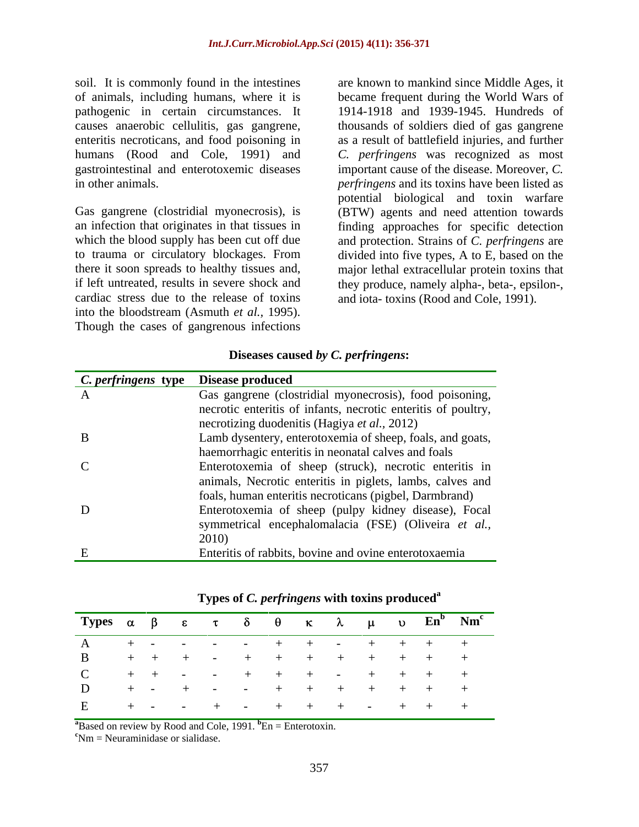soil. It is commonly found in the intestines are known to mankind since Middle Ages, it humans (Rood and Cole, 1991) and

if left untreated, results in severe shock and they produce, namely alpha-, beta-, epsilon-, cardiac stress due to the release of toxins and iota-toxins (Rood and Cole, 1991). into the bloodstream (Asmuth *et al.,* 1995). Though the cases of gangrenous infections

of animals, including humans, where it is became frequent during the World Wars of pathogenic in certain circumstances. It 1914-1918 and 1939-1945. Hundreds of causes anaerobic cellulitis, gas gangrene, thousands of soldiers died of gas gangrene enteritis necroticans, and food poisoning in as a result of battlefield injuries, and further gastrointestinal and enterotoxemic diseases important cause of the disease. Moreover, *C.*  in other animals. *perfringens* and its toxins have been listed as Gas gangrene (clostridial myonecrosis), is (BTW) agents and need attention towards an infection that originates in that tissues in finding approaches for specific detection which the blood supply has been cut off due and protection. Strains of *C. perfringens* are to trauma or circulatory blockages. From divided into five types, A to E, based on the there it soon spreads to healthy tissues and, major lethal extracellular protein toxins that *C. perfringens* was recognized as most potential biological and toxin warfare they produce, namely alpha-, beta-, epsilon-, and iota- toxins (Rood and Cole, 1991).

### **Diseases caused** *by C. perfringens***:**

| <i>C. perfringens</i> type | <b>Disease produced</b>                                       |
|----------------------------|---------------------------------------------------------------|
|                            | Gas gangrene (clostridial myonecrosis), food poisoning,       |
|                            | necrotic enteritis of infants, necrotic enteritis of poultry, |
|                            | necrotizing duodenitis (Hagiya et al., 2012)                  |
| B                          | Lamb dysentery, enterotoxemia of sheep, foals, and goats,     |
|                            | haemorrhagic enteritis in neonatal calves and foals           |
|                            | Enterotoxemia of sheep (struck), necrotic enteritis in        |
|                            | animals, Necrotic enteritis in piglets, lambs, calves and     |
|                            | foals, human enteritis necroticans (pigbel, Darmbrand)        |
| D                          | Enterotoxemia of sheep (pulpy kidney disease), Focal          |
|                            | symmetrical encephalomalacia (FSE) (Oliveira et al.,          |
|                            | 2010)                                                         |
|                            | Enteritis of rabbits, bovine and ovine enterotoxaemia         |

|  |  |                                  |  |  |  | Types αβ ε τ δ θ κ λ μ υ $En^b$ Nm <sup>c</sup> |
|--|--|----------------------------------|--|--|--|-------------------------------------------------|
|  |  |                                  |  |  |  | A + - - - - + + - + + + +                       |
|  |  | <b>B</b> + + + - + + + + + + + + |  |  |  |                                                 |
|  |  | $C$ + + - - + + + - + + + +      |  |  |  |                                                 |
|  |  |                                  |  |  |  | D + - + - - + + + + + + +                       |
|  |  | E + - - + - + + + - + + +        |  |  |  |                                                 |

### **Types of** *C. perfringens* **with toxins produced<sup>a</sup>**

**<sup>a</sup>**Based on review by Rood and Cole, 1991. **<sup>b</sup>**En = Enterotoxin. **<sup>c</sup>**Nm = Neuraminidase or sialidase.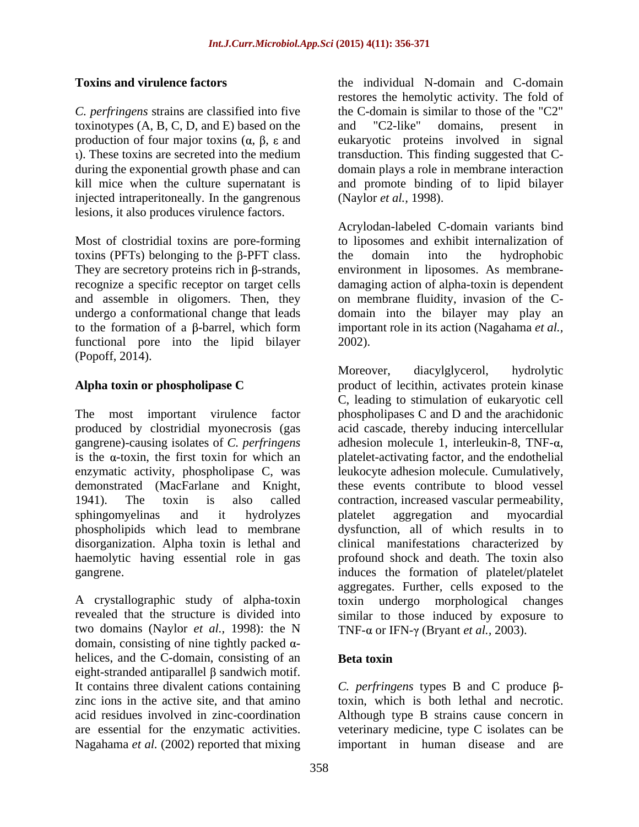*C. perfringens* strains are classified into five toxinotypes (A, B, C, D, and E) based on the and "C2-like" domains, present in injected intraperitoneally. In the gangrenous lesions, it also produces virulence factors.

Most of clostridial toxins are pore-forming toxins (PFTs) belonging to the  $\beta$ -PFT class. the domain into the hydrophobic functional pore into the lipid bilayer 2002). (Popoff, 2014).

demonstrated (MacFarlane and Knight, disorganization. Alpha toxin is lethal and haemolytic having essential role in gas

two domains (Naylor *et al.,* 1998): the N domain, consisting of nine tightly packed  $\alpha$ helices, and the C-domain, consisting of an **Beta toxin** eight-stranded antiparallel  $\beta$  sandwich motif. It contains three divalent cations containing  $C$ . *perfringens* types B and C produce  $\beta$ zinc ions in the active site, and that amino toxin, which is both lethal and necrotic. acid residues involved in zinc-coordination Although type B strains cause concern in are essential for the enzymatic activities. veterinary medicine, type C isolates can be Nagahama *et al.* (2002) reported that mixing

**Toxins and virulence factors** the individual N-domain and C-domain production of four major toxins  $(\alpha, \beta, \varepsilon)$  and eukaryotic proteins involved in signal ). These toxins are secreted into the medium transduction. This finding suggested that C during the exponential growth phase and can domain plays a role in membrane interaction kill mice when the culture supernatant is and promote binding of to lipid bilayer restores the hemolytic activity. The fold of the C-domain is similar to those of the "C2" and "C2-like" domains, present in (Naylor *et al.,* 1998).

They are secretory proteins rich in  $\beta$ -strands, environment in liposomes. As membranerecognize a specific receptor on target cells damaging action of alpha-toxin is dependent and assemble in oligomers. Then, they on membrane fluidity, invasion of the Cundergo a conformational change that leads domain into the bilayer may play an to the formation of a  $\beta$ -barrel, which form important role in its action (Nagahama *et al.*, Acrylodan-labeled C-domain variants bind to liposomes and exhibit internalization of the domain into the hydrophobic 2002).

**Alpha toxin or phospholipase C** product of lecithin, activates protein kinase The most important virulence factor phospholipases C and D and the arachidonic produced by clostridial myonecrosis (gas acid cascade, thereby inducing intercellular gangrene)-causing isolates of *C. perfringens* adhesion molecule 1, interleukin-8, TNF-α, is the  $\alpha$ -toxin, the first toxin for which an platelet-activating factor, and the endothelial enzymatic activity, phospholipase C, was leukocyte adhesion molecule. Cumulatively, 1941). The toxin is also called contraction, increased vascular permeability, sphingomyelinas and it hydrolyzes phospholipids which lead to membrane dysfunction, all of which results in to gangrene. induces the formation of platelet/platelet A crystallographic study of alpha-toxin toxin undergo morphological changes revealed that the structure is divided into similar to those induced by exposure to Moreover, diacylglycerol, hydrolytic C, leading to stimulation of eukaryotic cell these events contribute to blood vessel platelet aggregation and myocardial clinical manifestations characterized by profound shock and death. The toxin also aggregates. Further, cells exposed to the TNF- $\alpha$  or IFN- $\gamma$  (Bryant *et al.*, 2003).

# **Beta toxin**

important in human disease and are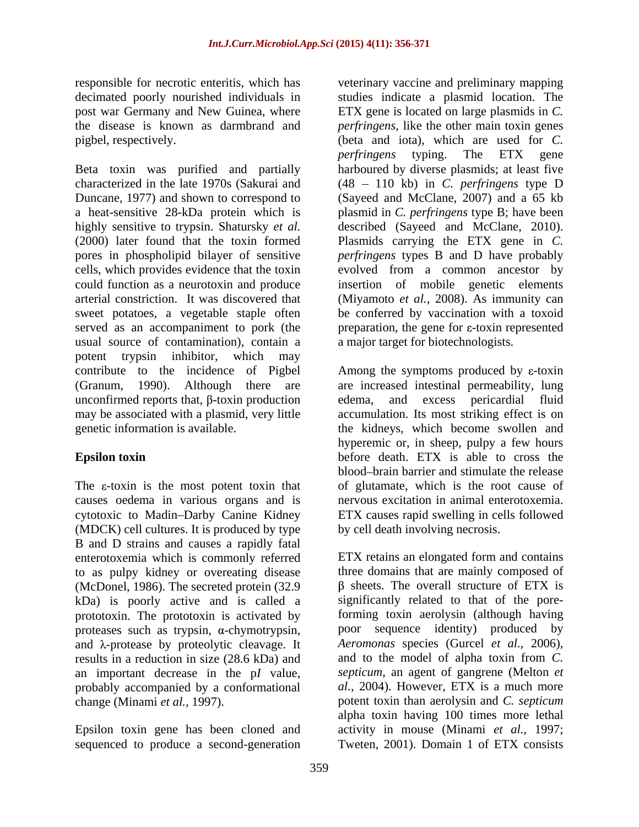Beta toxin was purified and partially characterized in the late 1970s (Sakurai and (48 110 kb) in *C. perfringens* type D Duncane, 1977) and shown to correspond to (Sayeed and McClane, 2007) and a 65 kb a heat-sensitive 28-kDa protein which is plasmid in *C. perfringens* type B; have been highly sensitive to trypsin. Shatursky *et al.* described (Sayeed and McClane, 2010). (2000) later found that the toxin formed Plasmids carrying the ETX gene in *C.*  pores in phospholipid bilayer of sensitive *perfringens* types B and D have probably cells, which provides evidence that the toxin could function as a neurotoxin and produce insertion of mobile genetic elements arterial constriction. It was discovered that (Miyamoto *et al.,* 2008). As immunity can sweet potatoes, a vegetable staple often be conferred by vaccination with a toxoid served as an accompaniment to pork (the preparation, the gene for  $\varepsilon$ -toxin represented usual source of contamination), contain a potent trypsin inhibitor, which may contribute to the incidence of Pigbel  $\blacksquare$  Among the symptoms produced by  $\varepsilon$ -toxin (Granum, 1990). Although there are are increased intestinal permeability, lung unconfirmed reports that,  $\beta$ -toxin production edema, and excess pericardial fluid may be associated with a plasmid, very little accumulation. Its most striking effect is on genetic information is available. the kidneys, which become swollen and

(MDCK) cell cultures. It is produced by type B and D strains and causes a rapidly fatal enterotoxemia which is commonly referred to as pulpy kidney or overeating disease kDa) is poorly active and is called a prototoxin. The prototoxin is activated by proteases such as trypsin,  $\alpha$ -chymotrypsin, and  $\lambda$ -protease by proteolytic cleavage. It results in a reduction in size (28.6 kDa) and<br>an important decrease in the pl value. probably accompanied by a conformational

responsible for necrotic enteritis, which has veterinary vaccine and preliminary mapping decimated poorly nourished individuals in studies indicate a plasmid location. The post war Germany and New Guinea, where ETX gene is located on large plasmids in *C.*  the disease is known as darmbrand and *perfringens*, like the other main toxin genes pigbel, respectively. (beta and iota), which are used for *C. perfringens* typing. The ETX gene harboured by diverse plasmids; at least five evolved from a common ancestor by a major target for biotechnologists.

**Epsilon toxin** before death. ETX is able to cross the The  $\varepsilon$ -toxin is the most potent toxin that of glutamate, which is the root cause of causes oedema in various organs and is nervous excitation in animal enterotoxemia. cytotoxic to Madin–Darby Canine Kidney FTX causes rapid swelling in cells followed edema, and excess pericardial fluid hyperemic or, in sheep, pulpy a few hours blood brain barrier and stimulate the release by cell death involving necrosis.

(McDonel, 1986). The secreted protein (32.9  $\beta$  sheets. The overall structure of ETX is an important decrease in the p*I* value, *septicum*, an agent of gangrene (Melton *et*  change (Minami *et al.,* 1997). potent toxin than aerolysin and *C. septicum* Epsilon toxin gene has been cloned and activity in mouse (Minami *et al.,* 1997; sequenced to produce a second-generation Tweten, 2001). Domain 1 of ETX consistsETX retains an elongated form and contains three domains that are mainly composed of significantly related to that of the poreforming toxin aerolysin (although having poor sequence identity) produced by *Aeromonas* species (Gurcel *et al.,* 2006), and to the model of alpha toxin from *C. al.,* 2004). However, ETX is a much more alpha toxin having 100 times more lethal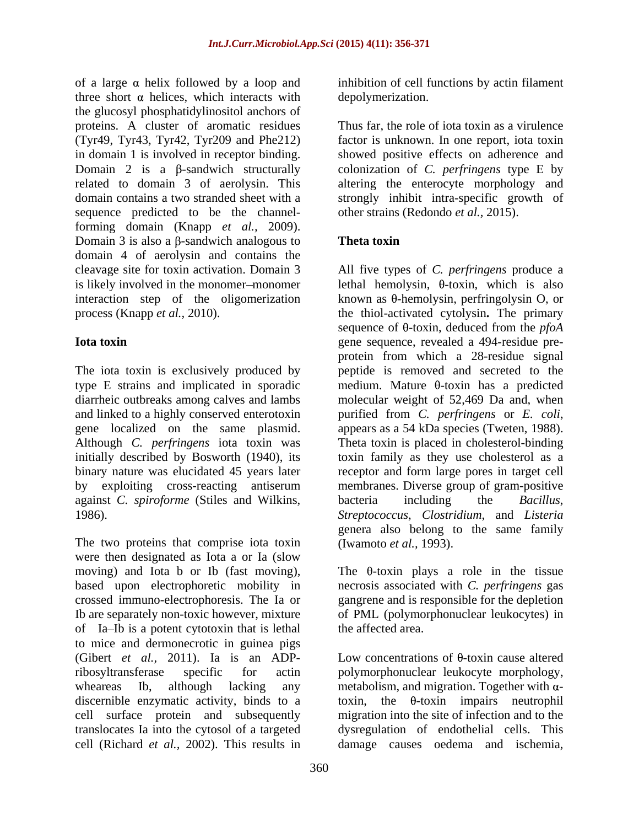of a large  $\alpha$  helix followed by a loop and inhibition of cell functions by actin filament three short  $\alpha$  helices, which interacts with the glucosyl phosphatidylinositol anchors of proteins. A cluster of aromatic residues Thus far, the role of iota toxin as a virulence (Tyr49, Tyr43, Tyr42, Tyr209 and Phe212) in domain 1 is involved in receptor binding. Showed positive effects on adherence and Domain 2 is a β-sandwich structurally colonization of *C. perfringens* type E by related to domain 3 of aerolysin. This altering the enterocyte morphology and domain contains a two stranded sheet with a strongly inhibit intra-specific growth of sequence predicted to be the channelforming domain (Knapp *et al.,* 2009). Domain 3 is also a  $\beta$ -sandwich analogous to **Theta toxin** domain 4 of aerolysin and contains the interaction step of the oligomerization

The iota toxin is exclusively produced by peptide is removed and secreted to the type E strains and implicated in sporadic  $\qquad$  medium. Mature  $\theta$ -toxin has a predicted diarrheic outbreaks among calves and lambs and linked to a highly conserved enterotoxin purified from C. perfringens or E. coli, gene localized on the same plasmid. appears as a 54 kDa species (Tweten, 1988). Although *C. perfringens* iota toxin was initially described by Bosworth (1940), its toxin family as they use cholesterol as a binary nature was elucidated 45 years later receptorand form large pores in target cell by exploiting cross-reacting antiserum membranes. Diverse group of gram-positive against *C. spiroforme* (Stiles and Wilkins, 1986). *Streptococcus*, *Clostridium*, and *Listeria*

The two proteins that comprise iota toxin were then designated as Iota a or Ia (slow moving) and Iota b or Ib (fast moving), The  $\theta$ -toxin plays a role in the tissue based upon electrophoretic mobility in necrosis associated with *C. perfringens* gas crossed immuno-electrophoresis. The Ia or gangrene and is responsible for the depletion Ib are separately non-toxic however, mixture of Ia–Ib is a potent cytotoxin that is lethal to mice and dermonecrotic in guinea pigs (Gibert *et al.,* 2011). Ia is an ADPribosyltransferase specific for actin polymorphonuclear leukocyte morphology, wheareas Ib, although lacking any metabolism, and migration. Together with  $\alpha$ discernible enzymatic activity, binds to a cell surface protein and subsequently migration into the site of infection and to the translocates Ia into the cytosol of a targeted dysregulation of endothelial cells. This cell (Richard *et al.,* 2002). This results in damage causes oedema and ischemia,

depolymerization.

factor is unknown. In one report, iota toxin other strains (Redondo *et al.,* 2015).

# **Theta toxin**

cleavage site for toxin activation. Domain 3 All five types of *C. perfringens* produce a is likely involved in the monomer-monomer lethal hemolysin,  $\theta$ -toxin, which is also process (Knapp *et al.,* 2010). the thiol-activated cytolysin**.** The primary **Iota toxin Exercise 2018 EXECUTE: EXECUTE: EXECUTE: EXECUTE: EXECUTE: EXECUTE: EXECUTE: EXECUTE: EXECUTE: EXECUTE: EXECUTE: EXECUTE: EXECUTE: EXECUTE: EXECUTE: EXECUTE: EXECUTE: EXECU** known as  $\theta$ -hemolysin, perfringolysin O, or sequence of  $\theta$ -toxin, deduced from the *pfoA* protein from which a 28-residue signal molecular weight of 52,469 Da and, when purified from *C. perfringens* or *E. coli*, appears as <sup>a</sup> <sup>54</sup> kDa species (Tweten, 1988). Theta toxin is placed in cholesterol-binding bacteria including the *Bacillus*, genera also belong to the same family (Iwamoto *et al.,* 1993).

> of PML (polymorphonuclear leukocytes) in the affected area.

> Low concentrations of  $\theta$ -toxin cause altered toxin, the  $\theta$ -toxin impairs neutrophil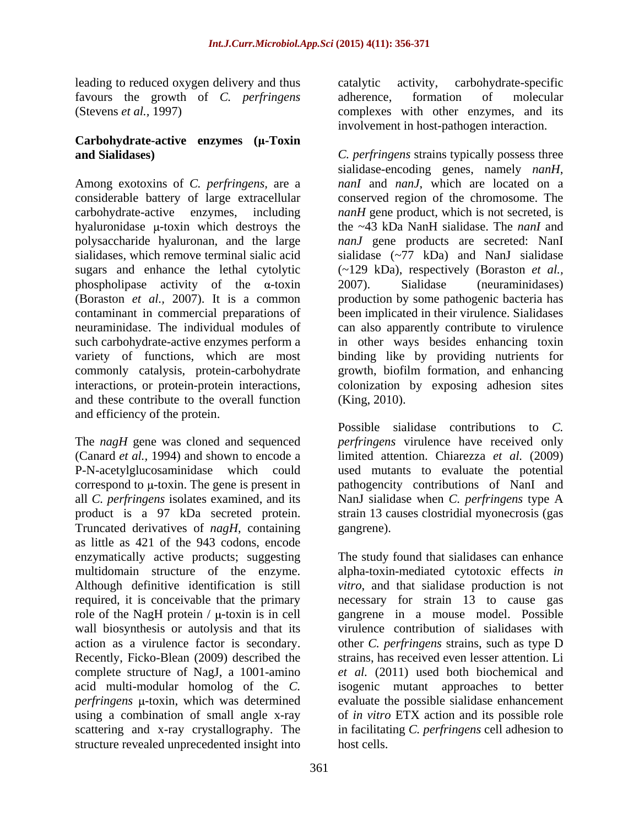leading to reduced oxygen delivery and thus early carried activity, carbohydrate-specific favours the growth of *C. perfringens*

# **Carbohydrate-active enzymes (** $\mu$ **-Toxin**

Among exotoxins of *C. perfringens,* are a hyaluronidase  $\mu$ -toxin which destroys the phospholipase activity of the  $\alpha$ -toxin 2007). Sialidase (neuraminidases) (Boraston *et al.,* 2007). It is a common and these contribute to the overall function and efficiency of the protein.

The *nagH* gene was cloned and sequenced *perfringens* virulence have received only (Canard *et al.,* 1994) and shown to encode a limited attention. Chiarezza *et al.* (2009) P-N-acetylglucosaminidase which could used mutants to evaluate the potential correspond to  $\mu$ -toxin. The gene is present in  $\mu$  pathogencity contributions of NanI and all *C. perfringens* isolates examined, and its NanJ sialidase when *C.perfringens* type A product is a 97 kDa secreted protein. strain 13 causes clostridial myonecrosis (gas Truncated derivatives of *nagH*, containing as little as 421 of the 943 codons, encode enzymatically active products; suggesting The study found that sialidases can enhance multidomain structure of the enzyme. alpha-toxin-mediated cytotoxic effects *in*  Although definitive identification is still *vitro*, and that sialidase production is not required, it is conceivable that the primary necessary for strain 13 to cause gas role of the NagH protein  $/ \mu$ -toxin is in cell wall biosynthesis or autolysis and that its virulence contribution of sialidases with action as a virulence factor is secondary. other *C. perfringens* strains, such as type D Recently, Ficko-Blean (2009) described the complete structure of NagJ, a 1001-amino acid multi-modular homolog of the *C.*  isogenic mutant approaches to better perfringens  $\mu$ -toxin, which was determined evaluate the possible sialidase enhancement using a combination of small angle x-ray of *in vitro* ETX action and its possible role scattering and x-ray crystallography. The structure revealed unprecedented insight into

(Stevens *et al.*, 1997) complexes with other enzymes, and its catalytic activity, carbohydrate-specific adherence, formation of molecular involvement in host-pathogen interaction.

**and Sialidases)** *C. perfringens* strains typically possess three considerable battery of large extracellular conserved region of the chromosome. The carbohydrate-active enzymes, including *nanH* gene product, which is not secreted, is polysaccharide hyaluronan, and the large *nanJ* gene products are secreted: NanI sialidases, which remove terminal sialic acid sialidase (~77 kDa) and NanJ sialidase sugars and enhance the lethal cytolytic (~129 kDa), respectively (Boraston *et al.,* contaminant in commercial preparations of been implicated in their virulence. Sialidases neuraminidase. The individual modules of can also apparently contribute to virulence such carbohydrate-active enzymes perform a in other ways besides enhancing toxin variety of functions, which are most binding like by providing nutrients for commonly catalysis, protein-carbohydrate growth, biofilm formation, and enhancing interactions, or protein-protein interactions, colonization by exposing adhesion sites sialidase-encoding genes, namely *nanH*, *nanI* and *nanJ*, which are located on a the ~43 kDa NanH sialidase. The *nanI* and 2007). Sialidase (neuraminidases) production by some pathogenic bacteria has (King, 2010).

> Possible sialidase contributions to *C.*  gangrene).

gangrene in a mouse model. Possible strains, has received even lesser attention. Li *et al.* (2011) used both biochemical and in facilitating *C. perfringens* cell adhesion to host cells.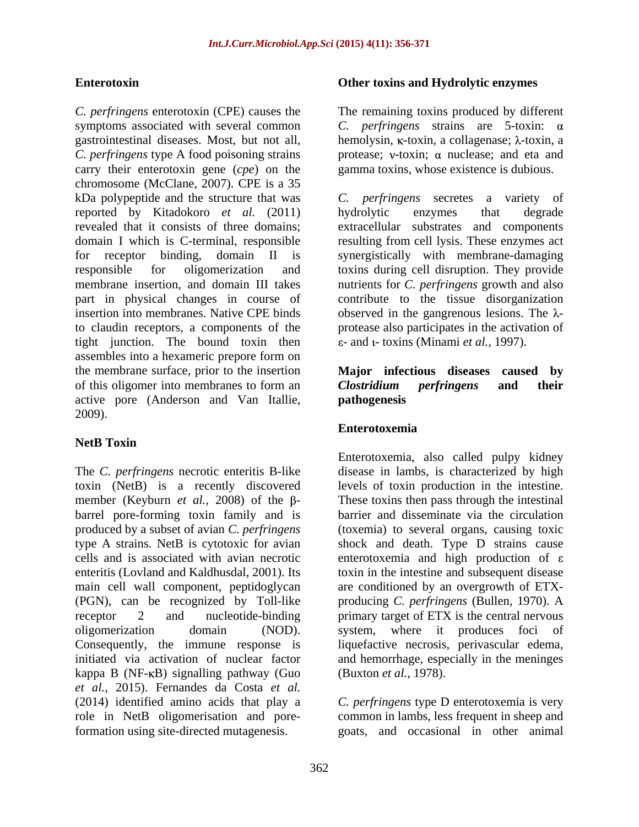*C. perfringens* enterotoxin (CPE) causes the The remaining toxins produced by different symptoms associated with several common  $C$ . *perfringens* strains are 5-toxin:  $\alpha$ gastrointestinal diseases. Most, but not all, hemolysin, κ-toxin, a collagenase; λ-toxin, a *C. perfringens* type A food poisoning strains carry their enterotoxin gene (*cpe*) on the chromosome (McClane, 2007). CPE is a 35 kDa polypeptide and the structure that was  $C$ . *perfringens* secretes a variety of reported by Kitadokoro *et al.* (2011) revealed that it consists of three domains; extracellular substrates and components domain I which is C-terminal, responsible resulting from cell lysis. These enzymes act for receptor binding, domain II is synergistically with membrane-damaging responsible for oligomerization and toxins during cell disruption.They provide membrane insertion, and domain III takes nutrients for *C. perfringens* growth and also part in physical changes in course of contribute to the tissue disorganization insertion into membranes. Native CPE binds  $\qquad \qquad$  observed in the gangrenous lesions. The  $\lambda$ to claudin receptors, a components of the protease also participates in the activation of tight junction. The bound toxin then assembles into a hexameric prepore form on the membrane surface, prior to the insertion of this oligomer into membranes to form an **Clostridium** perfringens and their active pore (Anderson and Van Itallie, 2009).

# **NetB Toxin**

The *C. perfringens* necrotic enteritis B-like toxin (NetB) is a recently discovered levels of toxin production in the intestine. member (Keyburn *et al.*, 2008) of the  $\beta$ - These toxins then pass through the intestinal barrel pore-forming toxin family and is produced by a subset of avian *C. perfringens* (toxemia) to several organs, causing toxic type A strains. NetB is cytotoxic for avian shock and death. Type D strains cause cells and is associated with avian necrotic enterotoxemia and high production of  $\varepsilon$ enteritis (Lovland and Kaldhusdal, 2001). Its toxin in the intestine and subsequent disease main cell wall component, peptidoglycan are conditioned by an overgrowth of ETX- (PGN), can be recognized by Toll-like producing *C. perfringens* (Bullen, 1970). A receptor 2 and nucleotide-binding primary target of ETX is the central nervous oligomerization domain (NOD). system, where it produces foci of Consequently, the immune response is liquefactive necrosis, perivascular edema, initiated via activation of nuclear factor and hemorrhage, especially in the meninges kappa B ( $NF-KB$ ) signalling pathway (Guo *et al.,* 2015). Fernandes da Costa *et al.* (2014) identified amino acids that play a *C. perfringens* type D enterotoxemia is very role in NetB oligomerisation and pore-common in lambs, less frequent in sheep and formation using site-directed mutagenesis.

### **Enterotoxin Other toxins and Hydrolytic enzymes**

protease;  $v$ -toxin;  $\alpha$  nuclease; and eta and gamma toxins, whose existence is dubious.

*C. perfringens* secretes a variety of hydrolytic enzymes that degrade - and - toxins (Minami *et al.,* 1997).

### **Major infectious diseases caused by** *Clostridium perfringens* **and their pathogenesis**

### **Enterotoxemia**

Enterotoxemia, also called pulpy kidney disease in lambs, is characterized by high barrier and disseminate via the circulation (Buxton *et al.,* 1978).

goats, and occasional in other animal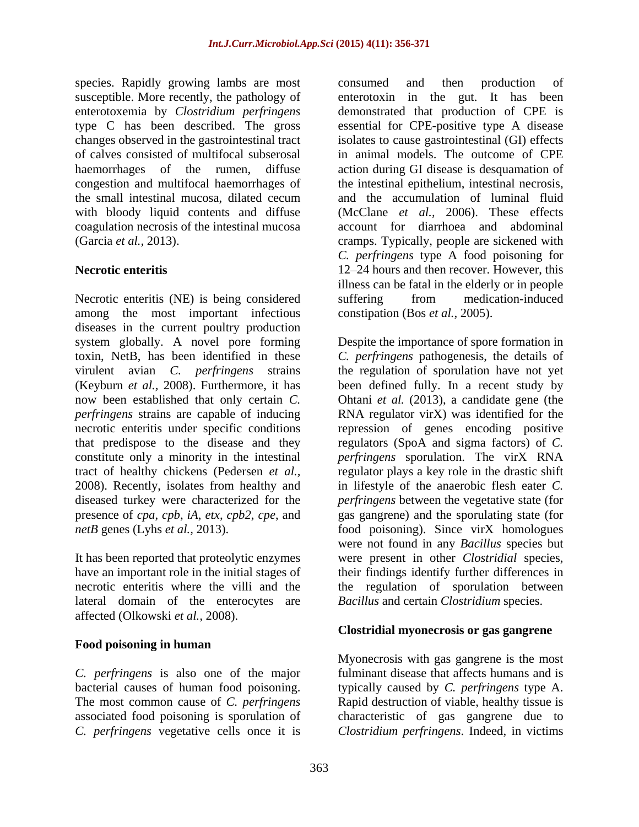species. Rapidly growing lambs are most consumed and then production of with bloody liquid contents and diffuse coagulation necrosis of the intestinal mucosa

Necrotic enteritis (NE) is being considered suffering from medication-induced among the most important infectious diseases in the current poultry production system globally. A novel pore forming Despite the importance of spore formation in toxin, NetB, has been identified in these *C. perfringens* pathogenesis, the details of virulent avian *C. perfringens* strains (Keyburn *et al.,* 2008). Furthermore, it has been defined fully. In a recent study by now been established that only certain *C.*  Ohtani *et al.* (2013), a candidate gene (the *perfringens* strains are capable of inducing RNA regulator virX) was identified for the necrotic enteritis under specific conditions repression of genes encoding positive that predispose to the disease and they regulators (SpoA and sigma factors) of *C.*  constitute only a minority in the intestinal *perfringens* sporulation. The virX RNA tract of healthy chickens (Pedersen *et al.,* regulator plays a key role in the drastic shift 2008). Recently, isolates from healthy and in lifestyle of the anaerobic flesh eater *C.*  diseased turkey were characterized for the *perfringens* between the vegetative state (for presence of *cpa*, *cpb*, *iA*, *etx*, *cpb2*, *cpe*, and gas gangrene) and the sporulating state (for

lateral domain of the enterocytes are affected (Olkowski *et al.,* 2008).

# **Food poisoning in human**

*C. perfringens* is also one of the major fulminant disease that affects humans and is bacterial causes of human food poisoning. typically caused by *C. perfringens* type A. The most common cause of *C. perfringens* Rapid destruction of viable, healthy tissue is associated food poisoning is sporulation of characteristic of gas gangrene due to

susceptible. More recently, the pathology of enterotoxin in the gut. It has been enterotoxemia by *Clostridium perfringens* demonstrated that production of CPE is type C has been described. The gross essential for CPE-positive type A disease changes observed in the gastrointestinal tract isolates to cause gastrointestinal (GI) effects of calves consisted of multifocal subserosal in animal models. The outcome of CPE haemorrhages of the rumen, diffuse action during GI disease is desquamation of congestion and multifocal haemorrhages of the intestinal epithelium, intestinal necrosis, the small intestinal mucosa, dilated cecum (Garcia *et al.,* 2013). cramps. Typically, people are sickened with **Necrotic enteritis** 12–24 hours and then recover. However, this consumed and then production of and the accumulation of luminal fluid (McClane *et al.,* 2006). These effects account for diarrhoea and abdominal *C. perfringens* type A food poisoning for illness can be fatal in the elderly or in people suffering from medication-induced constipation (Bos *et al.,* 2005).

*netB* genes (Lyhs *et al.,* 2013). **food** poisoning). Since virX homologues It has been reported that proteolytic enzymes were present in other *Clostridial* species, have an important role in the initial stages of their findings identify further differences in necrotic enteritis where the villi and the the regulation of sporulation between the regulation of sporulation have not yet were not found in any *Bacillus* species but *Bacillus* and certain *Clostridium* species.

### **Clostridial myonecrosis or gas gangrene**

*C. perfringens* vegetative cells once it is *Clostridium perfringens*. Indeed, in victimsMyonecrosis with gas gangrene is the most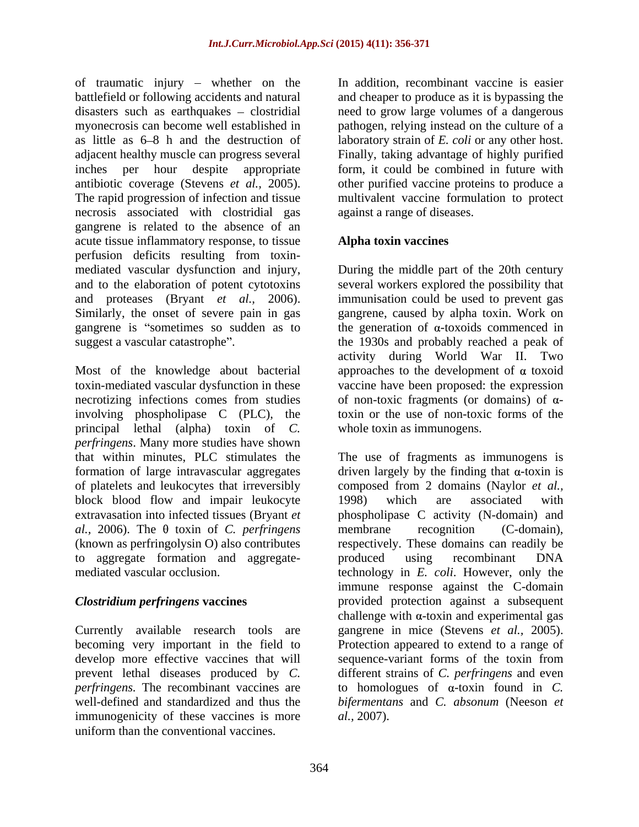of traumatic injury  $-$  whether on the battlefield or following accidents and natural and cheaper to produce as it is bypassing the disasters such as earthquakes – clostridial aneed to grow large volumes of a dangerous myonecrosis can become well established in pathogen, relying instead on the culture of a as little as  $6-8$  h and the destruction of laboratory strain of E, coli or any other host. adjacent healthy muscle can progress several Finally, taking advantage of highly purified inches per hour despite appropriate form, it could be combined in future with antibiotic coverage (Stevens *et al.,* 2005). other purified vaccine proteins to produce a The rapid progression of infection and tissue necrosis associated with clostridial gas gangrene is related to the absence of an acute tissue inflammatory response, to tissue perfusion deficits resulting from toxin mediated vascular dysfunction and injury, During the middle part of the 20th century and to the elaboration of potent cytotoxins several workers explored the possibility that and proteases (Bryant *et al.,* 2006). immunisation could be used to prevent gas Similarly, the onset of severe pain in gas gangrene, caused by alpha toxin. Work on gangrene is "sometimes so sudden as to the generation of  $\alpha$ -toxoids commenced in suggest a vascular catastrophe". the 1930s and probably reached a peak of

Most of the knowledge about bacterial approaches to the development of  $\alpha$  toxoid toxin-mediated vascular dysfunction in these vaccine have been proposed: the expression necrotizing infections comes from studies of non-toxic fragments (or domains) of  $\alpha$ involving phospholipase C (PLC), the principal lethal (alpha) toxin of *C. perfringens*. Many more studies have shown that within minutes, PLC stimulates the block blood flow and impair leukocyte 1998) which are associated with  $al., 2006$ . The  $\theta$  toxin of *C. perfringens* membrane recognition (C-domain), (known as perfringolysin O) also contributes to aggregate formation and aggregate-<br>produced using recombinant DNA

develop more effective vaccines that will sequence-variant forms of the toxin from immunogenicity of these vaccines is more uniform than the conventional vaccines.

In addition, recombinant vaccine is easier laboratory strain of *E. coli* or any other host. Finally, taking advantage of highly purified multivalent vaccine formulation to protect against a range of diseases.

# **Alpha toxin vaccines**

activity during World War II. Two toxin or the use of non-toxic forms of the whole toxin as immunogens.

formation of large intravascular aggregates driven largely by the finding that  $\alpha$ -toxin is of platelets and leukocytes that irreversibly composed from 2 domains (Naylor *et al.,* extravasation into infected tissues (Bryant *et*  phospholipase C activity (N-domain) and mediated vascular occlusion. technology in *E. coli*. However, only the *Clostridium perfringens* **vaccines** provided protection against a subsequent Currently available research tools are gangrene in mice (Stevens *et al.,* 2005). becoming very important in the field to Protection appeared to extend to a range of prevent lethal diseases produced by *C.*  different strains of *C. perfringens* and even *perfringens*. The recombinant vaccines are  $\qquad$  to homologues of  $\alpha$ -toxin found in *C*. well-defined and standardized and thus the *bifermentans* and *C. absonum* (Neeson *et*  The use of fragments as immunogens is 1998) which are associated with membrane recognition (C-domain), respectively. These domains can readily be produced using recombinant DNA immune response against the C-domain challenge with  $\alpha$ -toxin and experimental gas sequence-variant forms of the toxin from *al.,* 2007).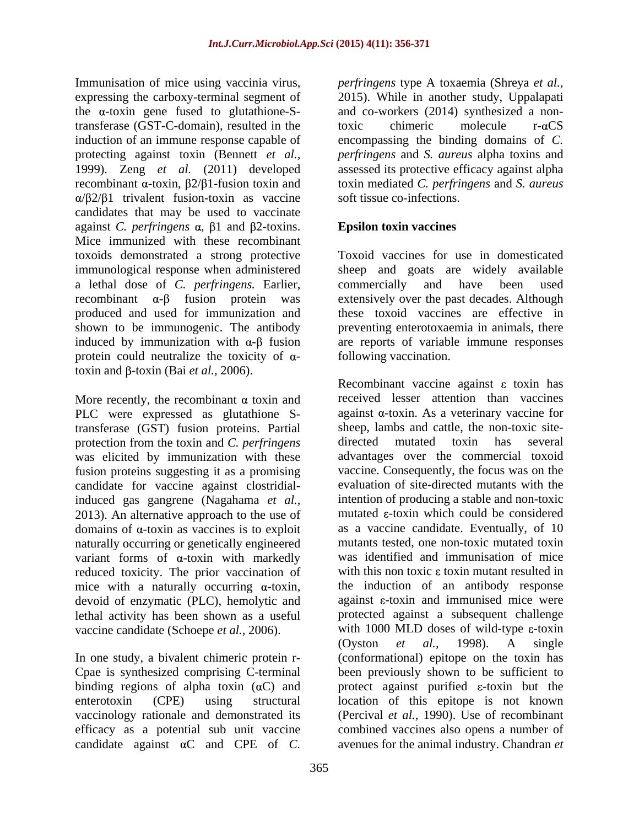Immunisation of mice using vaccinia virus, *perfringens* type A toxaemia (Shreya *et al.,* expressing the carboxy-terminal segment of the  $\alpha$ -toxin gene fused to glutathione-Stransferase (GST-C-domain), resulted in the  $\qquad \qquad \text{toxic} \qquad \text{molecule} \qquad \text{r-}\alpha\text{CS}$ induction of an immune response capable of encompassing the binding domains of *C.*  protecting against toxin (Bennett *et al., perfringens* and *S. aureus* alpha toxins and 1999). Zeng *et al.* (2011) developed assessed its protective efficacy against alpha recombinant α-toxin, β2/β1-fusion toxin and toxin mediated *C. perfringens* and *S. aureus*  $\alpha$ / $\beta$ 2/ $\beta$ 1 trivalent fusion-toxin as vaccine candidates that may be used to vaccinate against *C. perfringens*  $\alpha$ ,  $\beta$ 1 and  $\beta$ 2-toxins. Mice immunized with these recombinant toxoids demonstrated a strong protective immunological response when administered a lethal dose of *C. perfringens.* Earlier,  $r$ ecombinant  $\alpha$ - $\beta$  fusion protein was extensively over the past decades. Although produced and used for immunization and shown to be immunogenic. The antibody induced by immunization with  $\alpha$ - $\beta$  fusion are reports of variable immune responses protein could neutralize the toxicity of  $\alpha$ - following vaccination. toxin and  $\beta$ -toxin (Bai *et al.*, 2006).<br>Recombinant vaccine against  $\varepsilon$  toxin has

More recently, the recombinant  $\alpha$  toxin and PLC were expressed as glutathione Stransferase (GST) fusion proteins. Partial protection from the toxin and *C. perfringens* was elicited by immunization with these fusion proteins suggesting it as a promising candidate for vaccine against clostridialinduced gas gangrene (Nagahama *et al.,* 2013). An alternative approach to the use of domains of  $\alpha$ -toxin as vaccines is to exploit naturally occurring or genetically engineered variant forms of  $\alpha$ -toxin with markedly reduced toxicity. The prior vaccination of mice with a naturally occurring  $\alpha$ -toxin, devoid of enzymatic (PLC), hemolytic and<br>lethal activity has been shown as a useful

In one study, a bivalent chimeric protein r binding regions of alpha toxin  $(\alpha C)$  and candidate against  $\alpha$ C and CPE of *C*.

2015). While in another study, Uppalapati and co-workers (2014) synthesized a nontoxic chimeric molecule  $r-\alpha CS$ soft tissue co-infections.

# **Epsilon toxin vaccines**

Toxoid vaccines for use in domesticated sheep and goats are widely available commercially and have been used these toxoid vaccines are effective in preventing enterotoxaemia in animals, there

lethal activity has been shown as a useful protected against a subsequent challenge vaccine candidate (Schoepe *et al.*, 2006). with 1000 MLD doses of will (Oyston *et al.*, 1998). Cpae is synthesized comprising C-terminal been previously shown to be sufficient to enterotoxin (CPE) using structural location of this epitope is not known vaccinology rationale and demonstrated its (Percival *et al.,* 1990). Use of recombinant efficacy as a potential sub unit vaccine combined vaccines also opens a number of following vaccination.<br>Recombinant vaccine against  $\varepsilon$  toxin has received lesser attention than vaccines against  $\alpha$ -toxin. As a veterinary vaccine for sheep, lambs and cattle, the non-toxic site directed mutated toxin has several advantages over the commercial toxoid vaccine. Consequently, the focus was on the evaluation of site-directed mutants with the intention of producing a stable and non-toxic mutated  $\epsilon$ -toxin which could be considered as a vaccine candidate. Eventually, of 10 mutants tested, one non-toxic mutated toxin was identified and immunisation of mice with this non toxic  $\epsilon$  toxin mutant resulted in the induction of an antibody response against  $\varepsilon$ -toxin and immunised mice were with 1000 MLD doses of wild-type  $\varepsilon$ -toxin (Oyston *et al.,* 1998). A single (conformational) epitope on the toxin has protect against purified  $\varepsilon$ -toxin but the avenues for the animal industry. Chandran *et*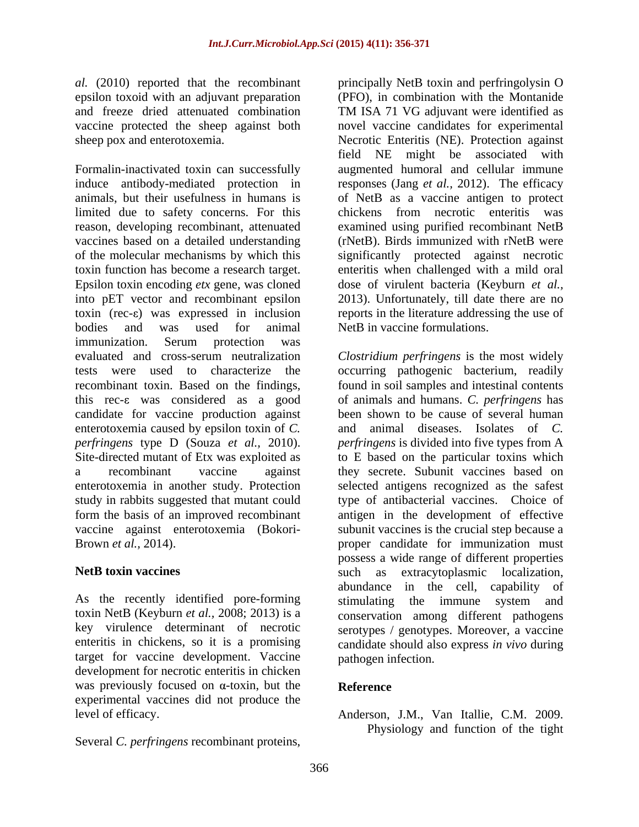and freeze dried attenuated combination TM ISA 71 VG adjuvant were identified as

Formalin-inactivated toxin can successfully augmented humoral and cellular immune induce antibody-mediated protection in responses (Jang *et al.,* 2012). The efficacy animals, but their usefulness in humans is of NetB as a vaccine antigen to protect limited due to safety concerns. For this chickens from necrotic enteritis was reason, developing recombinant, attenuated examined using purified recombinant NetB vaccines based on a detailed understanding of the molecular mechanisms by which this significantly protected against necrotic toxin function has become a research target. enteritis when challenged with a mild oral Epsilon toxin encoding *etx* gene, was cloned into pET vector and recombinant epsilon 2013). Unfortunately, till date there are no toxin (rec-ε) was expressed in inclusion reports in the literature addressing the use of bodies and was used for animal NetB in vaccine formulations. immunization. Serum protection was evaluated and cross-serum neutralization *Clostridium perfringens* is the most widely tests were used to characterize the occurring pathogenic bacterium, readily recombinant toxin. Based on the findings, found in soil samples and intestinal contents this rec- $\varepsilon$  was considered as a good of animals and humans. *C. perfringens* has candidate for vaccine production against enterotoxemia caused by epsilon toxin of *C. perfringens* type D (Souza *et al.,* 2010). Site-directed mutant of Etx was exploited as to E based on the particular toxins which a recombinant vaccine against they secrete. Subunit vaccines based on enterotoxemia in another study. Protection selected antigens recognized as the safest study in rabbits suggested that mutant could type of antibacterial vaccines. Choice of form the basis of an improved recombinant antigen in the development of effective vaccine against enterotoxemia (Bokori- subunit vaccines is the crucial step because a

As the recently identified pore-forming stimulating the immune system and target for vaccine development. Vaccine development for necrotic enteritis in chicken was previously focused on  $\alpha$ -toxin, but the **Reference** experimental vaccines did not produce the

Several *C. perfringens* recombinant proteins,

*al.* (2010) reported that the recombinant principally NetB toxin and perfringolysin O epsilon toxoid with an adjuvant preparation (PFO), in combination with the Montanide vaccine protected the sheep against both novel vaccine candidates for experimental sheep pox and enterotoxemia. Necrotic Enteritis (NE). Protection against TM ISA 71 VG adjuvant were identified as field NE might be associated with chickens from necrotic enteritis was (rNetB). Birds immunized with rNetB were dose of virulent bacteria (Keyburn *et al.,* NetB in vaccine formulations.

Brown *et al.*, 2014). **Example 2014 proper** candidate for immunization must **NetB toxin vaccines** such as extracytoplasmic localization, toxin NetB (Keyburn *et al.,* 2008; 2013) is a conservation among different pathogens key virulence determinant of necrotic serotypes / genotypes.Moreover, a vaccine enteritis in chickens, so it is a promising candidate should also express *in vivo* during been shown to be cause of several human and animal diseases. Isolates of *C. perfringens* is divided into five types from A possess a wide range of different properties abundance in the cell, capability of stimulating the immune system and pathogen infection.

# **Reference**

level of efficacy. Anderson, J.M., Van Itallie, C.M. 2009. Physiology and function of the tight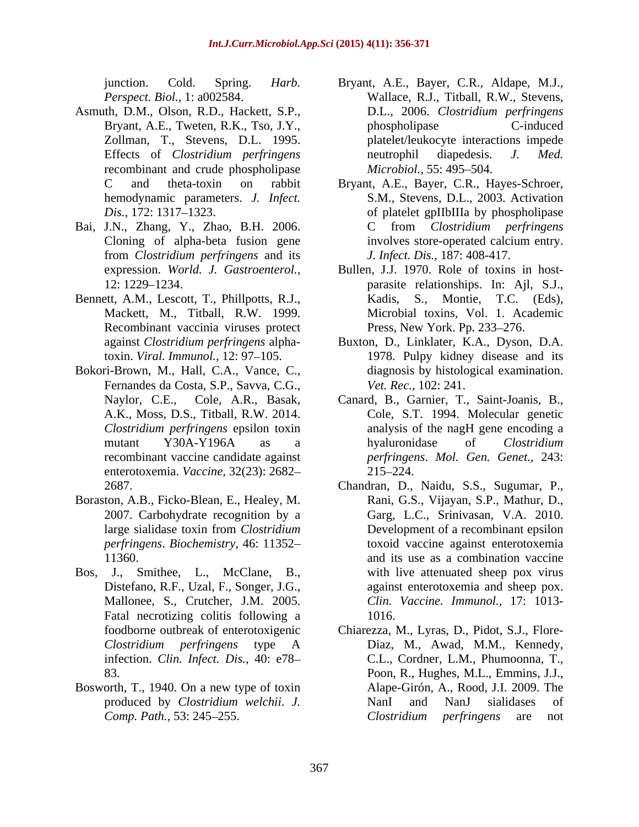- Asmuth, D.M., Olson, R.D., Hackett, S.P., recombinant and crude phospholipase *Microbiol.*, 55: 495–504. hemodynamic parameters. *J. Infect.*
- 
- Bennett, A.M., Lescott, T., Phillpotts, R.J., Kadis, Recombinant vaccinia viruses protect
- Bokori-Brown, M., Hall, C.A., Vance, C., Fernandes da Costa, S.P., Savva, C.G., enterotoxemia. *Vaccine,* 32(23): 2682
- Boraston, A.B., Ficko-Blean, E., Healey, M. *perfringens*. *Biochemistry,* 46: 11352
- Distefano, R.F., Uzal, F., Songer, J.G., Fatal necrotizing colitis following a 1016.
- Bosworth, T., 1940. On a new type of toxin
- junction. Cold. Spring. *Harb.*  Bryant, A.E., Bayer, C.R., Aldape, M.J., *Perspect. Biol.,* 1: a002584. Wallace, R.J., Titball, R.W., Stevens, Bryant, A.E., Tweten, R.K., Tso, J.Y., hypospholipase C-induced Zollman, T., Stevens, D.L. 1995. platelet/leukocyte interactions impede Effects of *Clostridium perfringens* D.L., 2006. *Clostridium perfringens* phospholipase C-induced neutrophil diapedesis. *J. Med. Microbiol.,* 55: 495–504.
- C and theta-toxin on rabbit Bryant, A.E., Bayer, C.R., Hayes-Schroer, Dis., 172: 1317–1323. **of platelet gpIIbIIIa by phospholipase** Bai, J.N., Zhang, Y., Zhao, B.H. 2006. C from *Clostridium perfringens* Cloning of alpha-beta fusion gene involves store-operated calcium entry. from *Clostridium perfringens* and its S.M., Stevens, D.L., 2003. Activation C from *Clostridium perfringens* involves store-operated calcium entry. *J. Infect. Dis.,* 187: 408-417.
	- expression. *World. J. Gastroenterol.,* Bullen, J.J. 1970. Role of toxins in host- 12: 1229 1234. parasite relationships. In: Ajl, S.J., Mackett, M., Titball, R.W. 1999. Microbial toxins, Vol. 1. Academic S., Montie, T.C. (Eds), Press, New York. Pp. 233-276.
	- against *Clostridium perfringens* alpha-Buxton, D., Linklater, K.A., Dyson, D.A. toxin. *Viral. Immunol.*, 12: 97–105. **1978.** Pulpy kidney disease and its diagnosis by histological examination. *Vet. Rec.,* 102: 241.
	- Naylor, C.E., Cole, A.R., Basak, Canard, B., Garnier, T., Saint-Joanis, B., A.K., Moss, D.S., Titball, R.W. 2014. Cole, S.T. 1994. Molecular genetic *Clostridium perfringens* epsilon toxin analysis of the nagH gene encoding a mutant Y30A-Y196A as a hyaluronidase of Clostridium recombinant vaccine candidate against *perfringens*. *Mol. Gen. Genet.,* 243: hyaluronidase of *Clostridium*  215 224.
- 2687. Chandran, D., Naidu, S.S., Sugumar, P., 2007. Carbohydrate recognition by a Garg, L.C., Srinivasan, V.A. 2010. large sialidase toxin from *Clostridium*  Development of a recombinant epsilon 11360. and its use as a combination vaccine Bos, J., Smithee, L., McClane, B., with live attenuated sheep pox virus Mallonee, S., Crutcher, J.M. 2005. *Clin. Vaccine. Immunol.,* 17: 1013- Rani, G.S., Vijayan, S.P., Mathur, D., toxoid vaccine against enterotoxemia against enterotoxemia and sheep pox. 1016.
	- foodborne outbreak of enterotoxigenic Chiarezza, M., Lyras, D., Pidot, S.J., Flore- *Clostridium perfringens* type A infection. *Clin. Infect. Dis.,* 40: e78 C.L., Cordner, L.M., Phumoonna, T., 83. Poon, R., Hughes, M.L., Emmins, J.J., produced by *Clostridium welchii*. *J. Comp. Path.,* 53: 245–255. *Clostridium perfringens* are not Diaz, M., Awad, M.M., Kennedy, Alape-Girón, A., Rood, J.I. 2009. The NanI and NanJ sialidases of *Clostridium perfringens* are not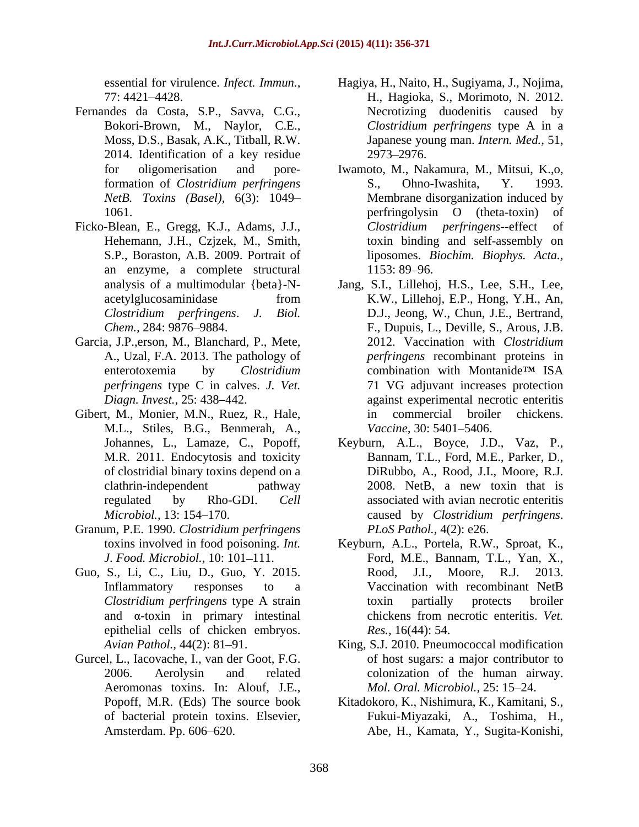- Fernandes da Costa, S.P., Savva, C.G., 2014. Identification of a key residue
- an enzyme, a complete structural
- Garcia, J.P.,erson, M., Blanchard, P., Mete,
- Gibert, M., Monier, M.N., Ruez, R., Hale, in commercial broiler chickens. M.L., Stiles, B.G., Benmerah, A.,
- Granum, P.E. 1990. *Clostridium perfringens* PLoS Pathol., 4(2): e26.
- epithelial cells of chicken embryos.
- Gurcel, L., Iacovache, I., van der Goot, F.G. Aeromonas toxins. In: Alouf, J.E.,
- essential for virulence. *Infect. Immun.*, Hagiya, H., Naito, H., Sugiyama, J., Nojima, 77: 4421 4428. H., Hagioka, S., Morimoto, N. 2012. Bokori-Brown, M., Naylor, C.E., *Clostridium perfringens* type A in a Moss, D.S., Basak, A.K., Titball, R.W. Japanese young man. *Intern. Med.,* 51, Necrotizing duodenitis caused by 2973 2976.
- for oligomerisation and pore-Iwamoto, M., Nakamura, M., Mitsui, K.,o, formation of *Clostridium perfringens* S., Ohno-Iwashita, Y. 1993. *NetB. Toxins (Basel),* 6(3): 1049 Membrane disorganization induced by 1061. between perfringolysin O (theta-toxin) of Ficko-Blean, E., Gregg, K.J., Adams, J.J., Clostridium perfringens--effect of Hehemann, J.H., Czjzek, M., Smith, toxin binding and self-assembly on S.P., Boraston, A.B. 2009. Portrait of liposomes. *Biochim. Biophys. Acta.,* S., Ohno-Iwashita, Y. 1993. perfringolysin O (theta-toxin) of *Clostridium perfringens*--effect of 1153: 89–96.
	- analysis of a multimodular {beta}-N- Jang, S.I., Lillehoj, H.S., Lee, S.H., Lee, acetylglucosaminidase from K.W., Lillehoj, E.P., Hong, Y.H., An, *Clostridium perfringens*. *J. Biol.* D.J., Jeong, W., Chun, J.E., Bertrand, *Chem.,* 284: 9876–9884. **F., Dupuis, L., Deville, S., Arous, J.B.** A., Uzal, F.A. 2013. The pathology of *perfringens* recombinant proteins in enterotoxemia by *Clostridium perfringens* type C in calves. *J. Vet.* 71 VG adjuvant increases protection *Diagn. Invest.,* 25: 438 442. against experimental necrotic enteritis K.W., Lillehoj, E.P., Hong, Y.H., An, 2012. Vaccination with *Clostridium*  combination with Montanide<sup>TM</sup> ISA in commercial broiler chickens. *Vaccine,* 30: 5401–5406.
	- Johannes, L., Lamaze, C., Popoff, Keyburn, A.L., Boyce, J.D., Vaz, P., M.R. 2011. Endocytosis and toxicity Bannam, T.L., Ford, M.E., Parker, D., of clostridial binary toxins depend on a DiRubbo, A., Rood, J.I., Moore, R.J. clathrin-independent pathway 2008. NetB, a new toxin that is regulated by Rho-GDI. *Cell*  associated with avian necrotic enteritis *Microbiol.,* 13: 154 170. caused by *Clostridium perfringens*. *PLoS Pathol.,* 4(2): e26.
- toxins involved in food poisoning. *Int.*  Keyburn, A.L., Portela, R.W., Sproat, K., *J. Food. Microbiol.,* 10: 101 111. Ford, M.E., Bannam, T.L., Yan, X., Guo, S., Li, C., Liu, D., Guo, Y. 2015. Rood, J.I., Moore, R.J. 2013. Inflammatory responses to a Vaccination with recombinant NetB *Clostridium perfringens* type A strain and  $\alpha$ -toxin in primary intestinal chickens from necrotic enteritis. Vet. Rood, J.I., Moore, R.J. 2013. Vaccination with recombinant NetB toxin partially protects broiler chickens from necrotic enteritis. *Vet. Res.,* 16(44): 54.
	- Avian Pathol., 44(2): 81–91. King, S.J. 2010. Pneumococcal modification 2006. Aerolysin and related colonization of the human airway. of host sugars: a major contributor to *Mol. Oral. Microbiol., 25: 15-24.*
	- Popoff, M.R. (Eds) The source book Kitadokoro, K., Nishimura, K., Kamitani, S., of bacterial protein toxins. Elsevier, Fukui-Miyazaki, A., Toshima, H., Amsterdam. Pp. 606 620. Abe, H., Kamata, Y., Sugita-Konishi,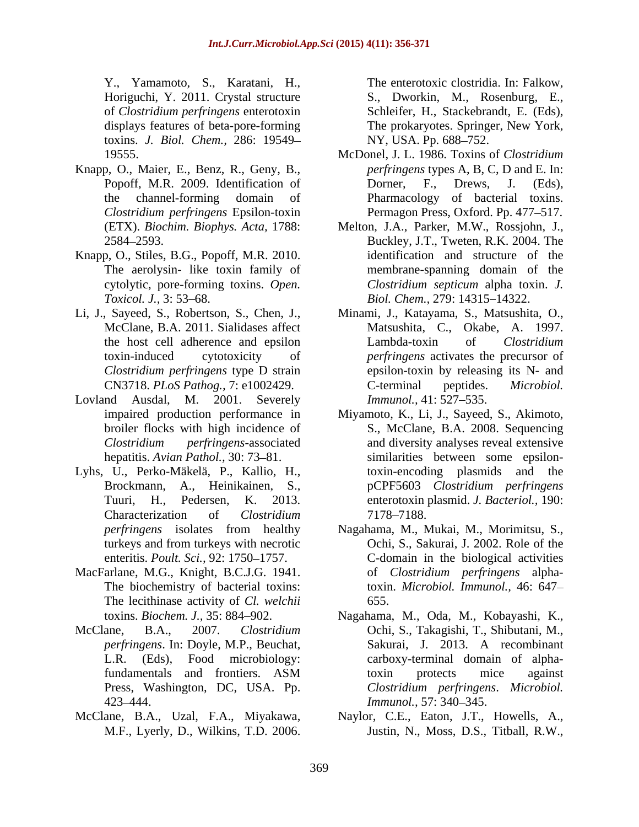Y., Yamamoto, S., Karatani, H., Horiguchi, Y. 2011. Crystal structure S., Dworkin, M., Rosenburg, E., of *Clostridium perfringens* enterotoxin displays features of beta-pore-forming The prokaryotes. Springer, New York, toxins. *J. Biol. Chem.,* 286: 19549

- Knapp, O., Maier, E., Benz, R., Geny, B.,
- Knapp, O., Stiles, B.G., Popoff, M.R. 2010.
- 
- Lovland Ausdal, M. 2001. Severely *Immunol.*, 41: 527–535. hepatitis. *Avian Pathol.*, 30: 73-81.
- Lyhs, U., Perko-Mäkelä, P., Kallio, H., Characterization of *Clostridium*
- MacFarlane, M.G., Knight, B.C.J.G. 1941. The lecithinase activity of *Cl. welchii*
- 
- 

- 19555. McDonel, J. L. 1986. Toxins of *Clostridium*  Popoff, M.R. 2009. Identification of Dorner, F., Drews, J. (Eds), the channel-forming domain of Pharmacology of bacterial toxins. *Clostridium perfringens* Epsilon-toxin Permagon Press, Oxford. Pp. 477–517. *perfringens* types A, B, C, D and E. In: Dorner, F., Drews, J. (Eds),
- (ETX). *Biochim. Biophys. Acta,* 1788: Melton, J.A., Parker, M.W., Rossjohn, J., 2584 2593. Buckley, J.T., Tweten, R.K. 2004. The The aerolysin- like toxin family of membrane-spanning domain of the cytolytic, pore-forming toxins. *Open. Clostridium septicum alpha toxin. J. Toxicol. J., 3:* 53–68. *Biol. Chem.,* 279: 14315–14322. identification and structure of the *Clostridium septicum* alpha toxin. *J.*
- Li, J., Sayeed, S., Robertson, S., Chen, J., Minami, J., Katayama, S., Matsushita, O., McClane, B.A. 2011. Sialidases affect Matsushita, C., Okabe, A. 1997. the host cell adherence and epsilon Lambda-toxin of Clostridium toxin-induced cytotoxicity of *perfringens* activates the precursor of *Clostridium perfringens* type D strain epsilon-toxin by releasing its N- and CN3718. *PLoS Pathog.,* 7: e1002429. Matsushita, C., Okabe, A. 1997.<br>Lambda-toxin of *Clostridium* C-terminal peptides. *Microbiol. Immunol.,* 41: 527–535.
- impaired production performance in Miyamoto, K., Li, J., Sayeed, S., Akimoto, broiler flocks with high incidence of S., McClane, B.A. 2008. Sequencing *Clostridium perfringens*-associated and diversity analyses reveal extensive Brockmann, A., Heinikainen, S., pCPF5603 *Clostridium perfringens* Tuuri, H., Pedersen, K. 2013. enterotoxin plasmid. *J. Bacteriol.,* 190: Y., Yamamolo, S., Kinstonio, Clostridian (Friedrick Clostridian Friedrick Clostridian Friedrick Clostridia. In: Falschebrand, E. (F.B.), Goldenburg, F. F. Stackebrandt, E. (F.B.), The Stackebrandt, E. (F.B.), The Controllo similarities between some epsilontoxin-encoding plasmids and the 7178–7188.
	- *perfringens* isolates from healthy Nagahama, M., Mukai, M., Morimitsu, S., turkeys and from turkeys with necrotic Ochi, S., Sakurai, J. 2002. Role of the enteritis. *Poult. Sci.*, 92: 1750–1757. C-domain in the biological activities The biochemistry of bacterial toxins: toxin. *Microbiol. Immunol.,* 46: 647 of *Clostridium perfringens* alpha-655.
- toxins. *Biochem. J.,* 35: 884 902. Nagahama, M., Oda, M., Kobayashi, K., McClane, B.A., 2007. *Clostridium*  Ochi, S., Takagishi, T., Shibutani, M., *perfringens*. In: Doyle, M.P., Beuchat, L.R. (Eds), Food microbiology: carboxy-terminal domain of alphafundamentals and frontiers. ASM Press, Washington, DC, USA. Pp. *Clostridium perfringens*. *Microbiol.*  423–444. Sakurai, J. 2013. A recombinant toxin protects mice against *Immunol.,* 57: 340–345.
- McClane, B.A., Uzal, F.A., Miyakawa, Naylor, C.E., Eaton, J.T., Howells, A., Justin, N., Moss, D.S., Titball, R.W.,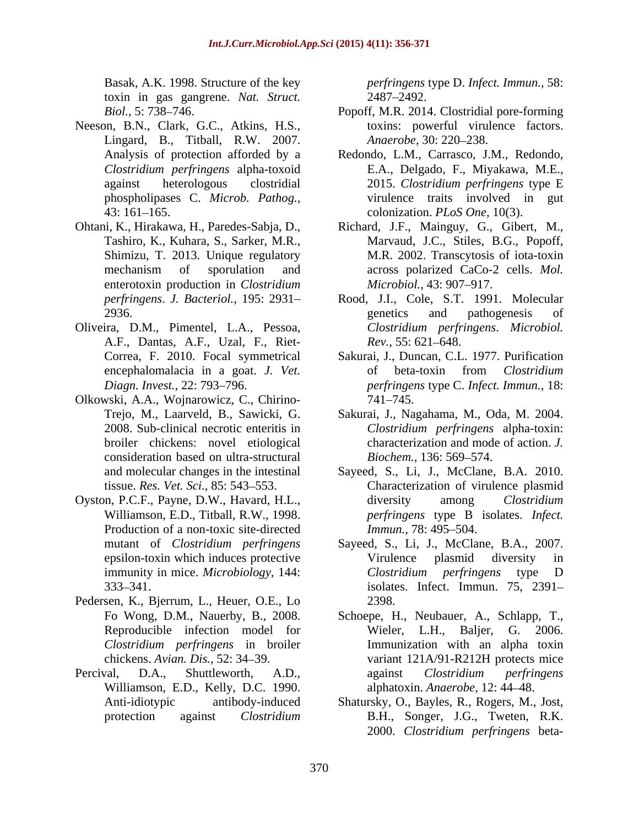Basak, A.K. 1998. Structure of the key *perfringens* type D. *Infect. Immun.,* 58: toxin in gas gangrene. *Nat. Struct.*

- Neeson, B.N., Clark, G.C., Atkins, H.S., Lingard, B., Titball, R.W. 2007. *Anaerobe*, 30: 220–238. 43: 161 165. colonization. *PLoS One,* 10(3).
- Shimizu, T. 2013. Unique regulatory enterotoxin production in *Clostridium*
- Oliveira, D.M., Pimentel, L.A., Pessoa, A.F., Dantas, A.F., Uzal, F., Riet-
- Olkowski, A.A., Wojnarowicz, C., Chirino consideration based on ultra-structural Biochem., 136: 569–574.
- Production of a non-toxic site-directed *Immun.*, 78: 495–504.
- Pedersen, K., Bjerrum, L., Heuer, O.E., Lo *Clostridium perfringens* in broiler
- Williamson, E.D., Kelly, D.C. 1990.

2487 2492.

- Biol., 5: 738–746. **Popoff, M.R. 2014. Clostridial pore-forming** toxins: powerful virulence factors. *Anaerobe,* 30: 220–238.
- Analysis of protection afforded by a Redondo, L.M., Carrasco, J.M., Redondo, *Clostridium perfringens* alpha-toxoid E.A., Delgado, F., Miyakawa, M.E., against heterologous clostridial 2015. *Clostridium perfringens* type E phospholipases C. *Microb. Pathog.,* virulence traits involved in gut
- Ohtani, K., Hirakawa, H., Paredes-Sabja, D., Richard, J.F., Mainguy, G., Gibert, M., Tashiro, K., Kuhara, S., Sarker, M.R., Marvaud, J.C., Stiles, B.G., Popoff, mechanism of sporulation and across polarized CaCo-2 cells. Mol. M.R. 2002. Transcytosis of iota-toxin across polarized CaCo-2 cells. *Mol. Microbiol.,* 43: 907–917.
	- *perfringens*. *J. Bacteriol.,* 195: 2931 Rood, J.I., Cole, S.T. 1991. Molecular 2936. 2003 genetics and pathogenesis of genetics and pathogenesis of *Clostridium perfringens*. *Microbiol. Rev.*, 55: 621–648.
	- Correa, F. 2010. Focal symmetrical Sakurai, J., Duncan, C.L. 1977. Purification encephalomalacia in a goat. *J. Vet.* of beta-toxin from *Clostridium Diagn. Invest.,* 22: 793 796. *perfringens* type C. *Infect. Immun.,* 18: of beta-toxin from *Clostridium*  741 745.
	- Trejo, M., Laarveld, B., Sawicki, G. Sakurai, J., Nagahama, M., Oda, M. 2004. 2008. Sub-clinical necrotic enteritis in *Clostridium perfringens* alpha-toxin: broiler chickens: novel etiological characterization and mode of action. *J. Biochem.,* 136: 569–574.
- and molecular changes in the intestinal Sayeed, S., Li, J., McClane, B.A. 2010. tissue. *Res. Vet. Sci.,* 85: 543 553. Characterization of virulence plasmid Oyston, P.C.F., Payne, D.W., Havard, H.L., Williamson, E.D., Titball, R.W., 1998. *perfringens* type B isolates. *Infect.* diversity among *Clostridium Immun.,* 78: 495–504.
	- mutant of *Clostridium perfringens* Sayeed, S., Li, J., McClane, B.A., 2007. epsilon-toxin which induces protective Virulence plasmid diversity in immunity in mice. *Microbiology,* 144: 333 341. isolates. Infect. Immun. 75, 2391 Virulence plasmid diversity in *Clostridium perfringens* type D 2398.
- Fo Wong, D.M., Nauerby, B., 2008. Schoepe, H., Neubauer, A., Schlapp, T., Reproducible infection model for Wieler, L.H., Baljer, G. 2006. chickens. *Avian. Dis.,* 52: 34 39. variant 121A/91-R212H protects mice Percival, D.A., Shuttleworth, A.D., against Clostridium perfringens Immunization with an alpha toxin against *Clostridium perfringens* alphatoxin. *Anaerobe,* 12: 44 48.
	- Anti-idiotypic antibody-induced Shatursky, O., Bayles, R., Rogers, M., Jost, protection against *Clostridium*  B.H., Songer, J.G., Tweten, R.K. 2000. *Clostridium perfringens* beta-